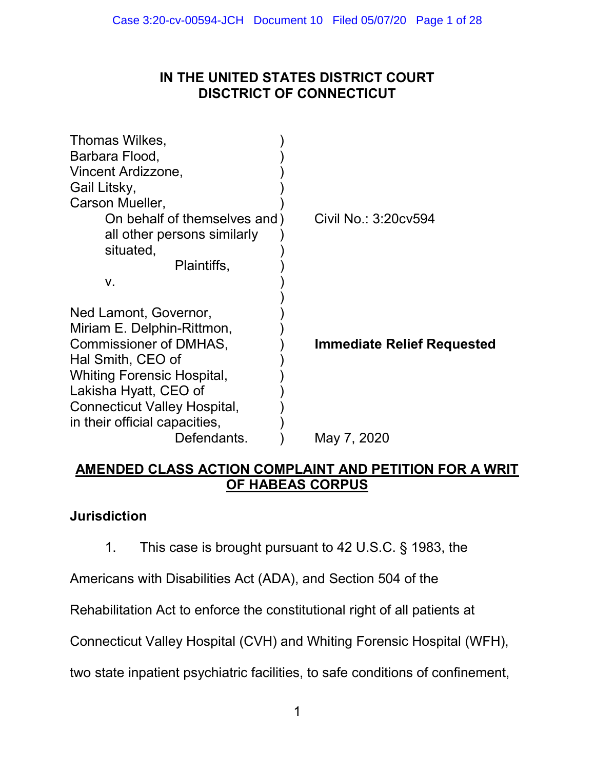# IN THE UNITED STATES DISTRICT COURT DISCTRICT OF CONNECTICUT

| Thomas Wilkes,<br>Barbara Flood,  |                                   |
|-----------------------------------|-----------------------------------|
| Vincent Ardizzone,                |                                   |
| Gail Litsky,                      |                                   |
| Carson Mueller,                   |                                   |
| On behalf of themselves and)      | Civil No.: 3:20cv594              |
| all other persons similarly       |                                   |
| situated,                         |                                   |
| Plaintiffs,                       |                                   |
| ۷.                                |                                   |
|                                   |                                   |
| Ned Lamont, Governor,             |                                   |
| Miriam E. Delphin-Rittmon,        |                                   |
| Commissioner of DMHAS,            | <b>Immediate Relief Requested</b> |
| Hal Smith, CEO of                 |                                   |
| <b>Whiting Forensic Hospital,</b> |                                   |
| Lakisha Hyatt, CEO of             |                                   |
| Connecticut Valley Hospital,      |                                   |
| in their official capacities,     |                                   |
| Defendants.                       | May 7, 2020                       |

# AMENDED CLASS ACTION COMPLAINT AND PETITION FOR A WRIT OF HABEAS CORPUS

# Jurisdiction

1. This case is brought pursuant to 42 U.S.C. § 1983, the

Americans with Disabilities Act (ADA), and Section 504 of the

Rehabilitation Act to enforce the constitutional right of all patients at

Connecticut Valley Hospital (CVH) and Whiting Forensic Hospital (WFH),

two state inpatient psychiatric facilities, to safe conditions of confinement,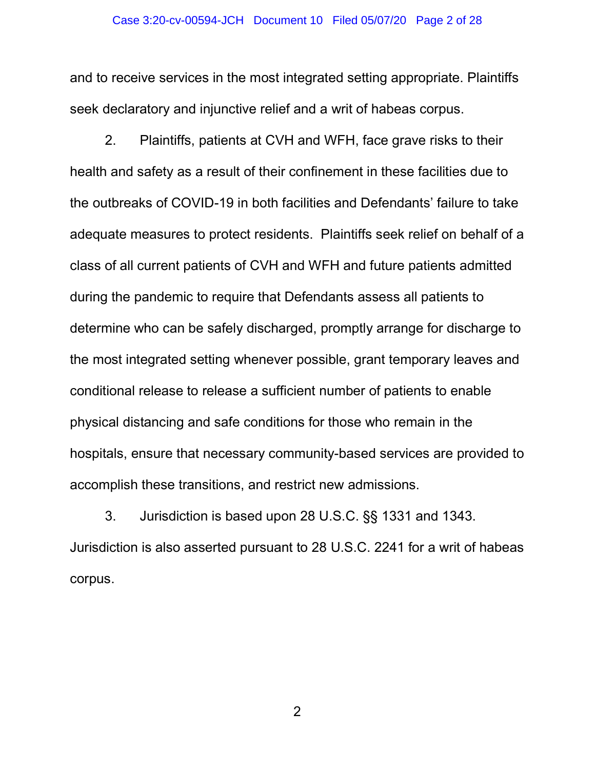#### Case 3:20-cv-00594-JCH Document 10 Filed 05/07/20 Page 2 of 28

and to receive services in the most integrated setting appropriate. Plaintiffs seek declaratory and injunctive relief and a writ of habeas corpus.

2. Plaintiffs, patients at CVH and WFH, face grave risks to their health and safety as a result of their confinement in these facilities due to the outbreaks of COVID-19 in both facilities and Defendants' failure to take adequate measures to protect residents. Plaintiffs seek relief on behalf of a class of all current patients of CVH and WFH and future patients admitted during the pandemic to require that Defendants assess all patients to determine who can be safely discharged, promptly arrange for discharge to the most integrated setting whenever possible, grant temporary leaves and conditional release to release a sufficient number of patients to enable physical distancing and safe conditions for those who remain in the hospitals, ensure that necessary community-based services are provided to accomplish these transitions, and restrict new admissions.

3. Jurisdiction is based upon 28 U.S.C. §§ 1331 and 1343. Jurisdiction is also asserted pursuant to 28 U.S.C. 2241 for a writ of habeas corpus.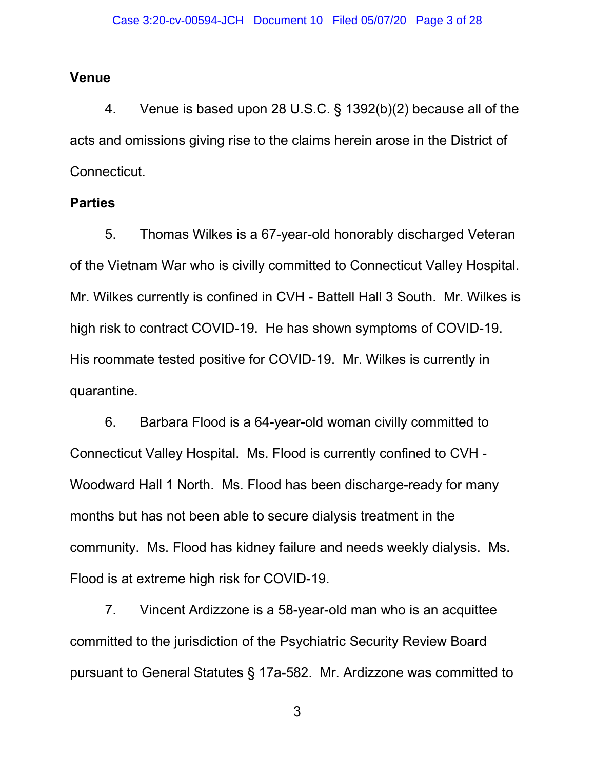### Venue

4. Venue is based upon 28 U.S.C. § 1392(b)(2) because all of the acts and omissions giving rise to the claims herein arose in the District of Connecticut.

## **Parties**

5. Thomas Wilkes is a 67-year-old honorably discharged Veteran of the Vietnam War who is civilly committed to Connecticut Valley Hospital. Mr. Wilkes currently is confined in CVH - Battell Hall 3 South. Mr. Wilkes is high risk to contract COVID-19. He has shown symptoms of COVID-19. His roommate tested positive for COVID-19. Mr. Wilkes is currently in quarantine.

6. Barbara Flood is a 64-year-old woman civilly committed to Connecticut Valley Hospital. Ms. Flood is currently confined to CVH - Woodward Hall 1 North. Ms. Flood has been discharge-ready for many months but has not been able to secure dialysis treatment in the community. Ms. Flood has kidney failure and needs weekly dialysis. Ms. Flood is at extreme high risk for COVID-19.

7. Vincent Ardizzone is a 58-year-old man who is an acquittee committed to the jurisdiction of the Psychiatric Security Review Board pursuant to General Statutes § 17a-582. Mr. Ardizzone was committed to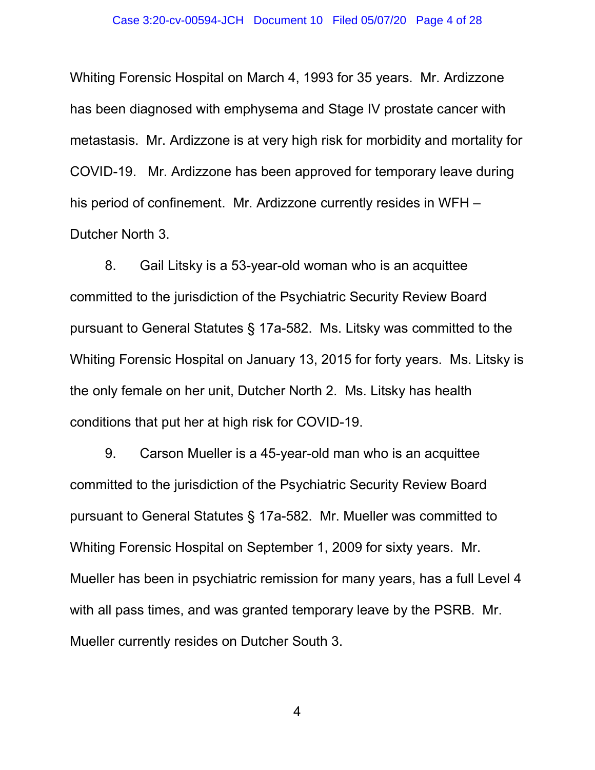Whiting Forensic Hospital on March 4, 1993 for 35 years. Mr. Ardizzone has been diagnosed with emphysema and Stage IV prostate cancer with metastasis. Mr. Ardizzone is at very high risk for morbidity and mortality for COVID-19. Mr. Ardizzone has been approved for temporary leave during his period of confinement. Mr. Ardizzone currently resides in WFH – Dutcher North 3.

8. Gail Litsky is a 53-year-old woman who is an acquittee committed to the jurisdiction of the Psychiatric Security Review Board pursuant to General Statutes § 17a-582. Ms. Litsky was committed to the Whiting Forensic Hospital on January 13, 2015 for forty years. Ms. Litsky is the only female on her unit, Dutcher North 2. Ms. Litsky has health conditions that put her at high risk for COVID-19.

9. Carson Mueller is a 45-year-old man who is an acquittee committed to the jurisdiction of the Psychiatric Security Review Board pursuant to General Statutes § 17a-582. Mr. Mueller was committed to Whiting Forensic Hospital on September 1, 2009 for sixty years. Mr. Mueller has been in psychiatric remission for many years, has a full Level 4 with all pass times, and was granted temporary leave by the PSRB. Mr. Mueller currently resides on Dutcher South 3.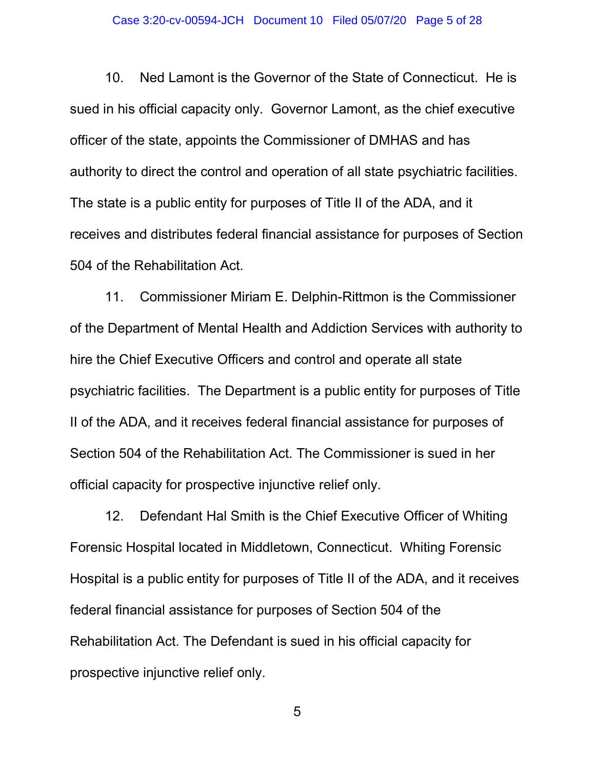#### Case 3:20-cv-00594-JCH Document 10 Filed 05/07/20 Page 5 of 28

10. Ned Lamont is the Governor of the State of Connecticut. He is sued in his official capacity only. Governor Lamont, as the chief executive officer of the state, appoints the Commissioner of DMHAS and has authority to direct the control and operation of all state psychiatric facilities. The state is a public entity for purposes of Title II of the ADA, and it receives and distributes federal financial assistance for purposes of Section 504 of the Rehabilitation Act.

11. Commissioner Miriam E. Delphin-Rittmon is the Commissioner of the Department of Mental Health and Addiction Services with authority to hire the Chief Executive Officers and control and operate all state psychiatric facilities. The Department is a public entity for purposes of Title II of the ADA, and it receives federal financial assistance for purposes of Section 504 of the Rehabilitation Act. The Commissioner is sued in her official capacity for prospective injunctive relief only.

12. Defendant Hal Smith is the Chief Executive Officer of Whiting Forensic Hospital located in Middletown, Connecticut. Whiting Forensic Hospital is a public entity for purposes of Title II of the ADA, and it receives federal financial assistance for purposes of Section 504 of the Rehabilitation Act. The Defendant is sued in his official capacity for prospective injunctive relief only.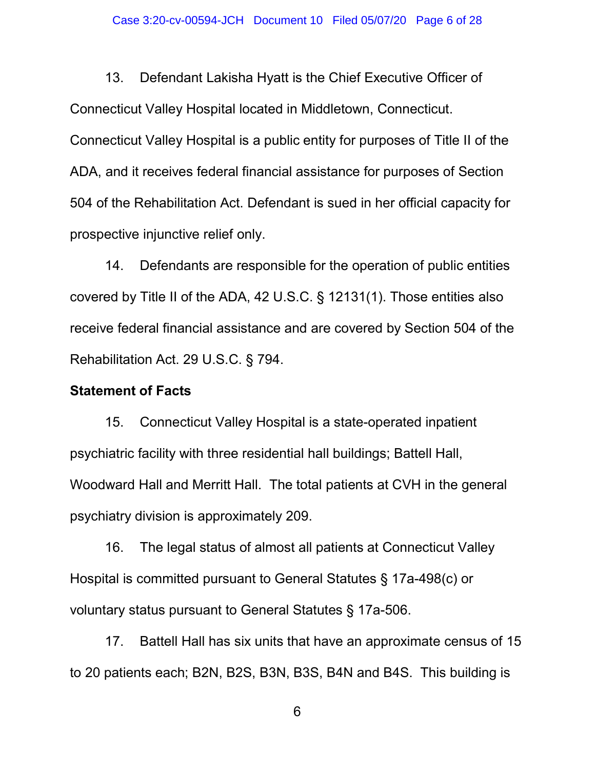13. Defendant Lakisha Hyatt is the Chief Executive Officer of Connecticut Valley Hospital located in Middletown, Connecticut. Connecticut Valley Hospital is a public entity for purposes of Title II of the ADA, and it receives federal financial assistance for purposes of Section 504 of the Rehabilitation Act. Defendant is sued in her official capacity for prospective injunctive relief only.

14. Defendants are responsible for the operation of public entities covered by Title II of the ADA, 42 U.S.C. § 12131(1). Those entities also receive federal financial assistance and are covered by Section 504 of the Rehabilitation Act. 29 U.S.C. § 794.

## Statement of Facts

15. Connecticut Valley Hospital is a state-operated inpatient psychiatric facility with three residential hall buildings; Battell Hall, Woodward Hall and Merritt Hall. The total patients at CVH in the general psychiatry division is approximately 209.

16. The legal status of almost all patients at Connecticut Valley Hospital is committed pursuant to General Statutes § 17a-498(c) or voluntary status pursuant to General Statutes § 17a-506.

17. Battell Hall has six units that have an approximate census of 15 to 20 patients each; B2N, B2S, B3N, B3S, B4N and B4S. This building is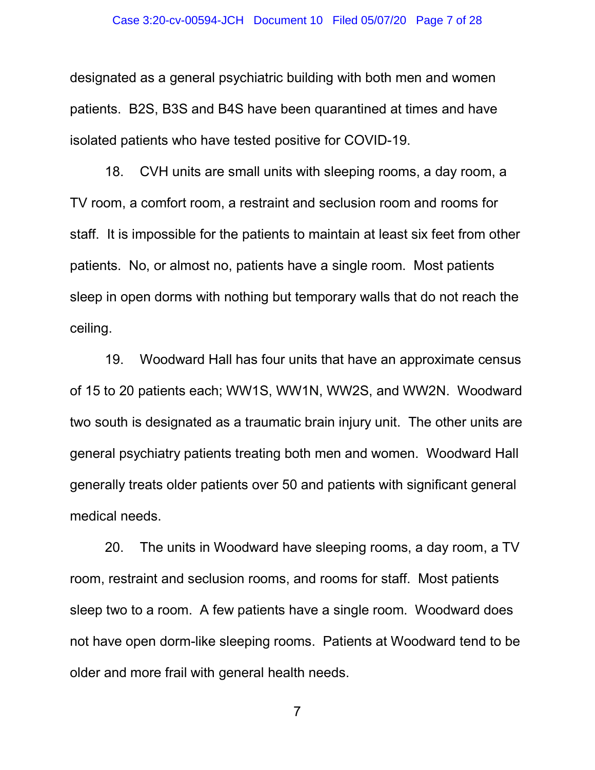designated as a general psychiatric building with both men and women patients. B2S, B3S and B4S have been quarantined at times and have isolated patients who have tested positive for COVID-19.

18. CVH units are small units with sleeping rooms, a day room, a TV room, a comfort room, a restraint and seclusion room and rooms for staff. It is impossible for the patients to maintain at least six feet from other patients. No, or almost no, patients have a single room. Most patients sleep in open dorms with nothing but temporary walls that do not reach the ceiling.

19. Woodward Hall has four units that have an approximate census of 15 to 20 patients each; WW1S, WW1N, WW2S, and WW2N. Woodward two south is designated as a traumatic brain injury unit. The other units are general psychiatry patients treating both men and women. Woodward Hall generally treats older patients over 50 and patients with significant general medical needs.

20. The units in Woodward have sleeping rooms, a day room, a TV room, restraint and seclusion rooms, and rooms for staff. Most patients sleep two to a room. A few patients have a single room. Woodward does not have open dorm-like sleeping rooms. Patients at Woodward tend to be older and more frail with general health needs.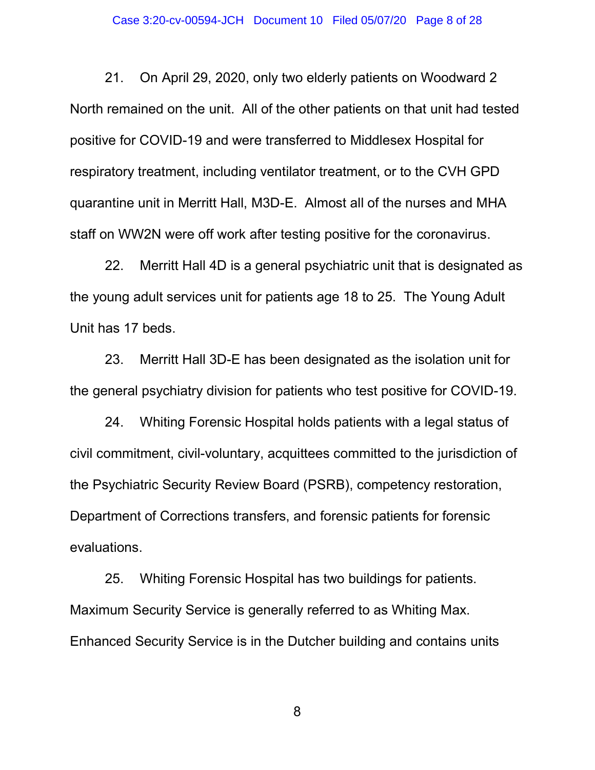21. On April 29, 2020, only two elderly patients on Woodward 2 North remained on the unit. All of the other patients on that unit had tested positive for COVID-19 and were transferred to Middlesex Hospital for respiratory treatment, including ventilator treatment, or to the CVH GPD quarantine unit in Merritt Hall, M3D-E. Almost all of the nurses and MHA staff on WW2N were off work after testing positive for the coronavirus.

22. Merritt Hall 4D is a general psychiatric unit that is designated as the young adult services unit for patients age 18 to 25. The Young Adult Unit has 17 beds.

23. Merritt Hall 3D-E has been designated as the isolation unit for the general psychiatry division for patients who test positive for COVID-19.

24. Whiting Forensic Hospital holds patients with a legal status of civil commitment, civil-voluntary, acquittees committed to the jurisdiction of the Psychiatric Security Review Board (PSRB), competency restoration, Department of Corrections transfers, and forensic patients for forensic evaluations.

25. Whiting Forensic Hospital has two buildings for patients. Maximum Security Service is generally referred to as Whiting Max. Enhanced Security Service is in the Dutcher building and contains units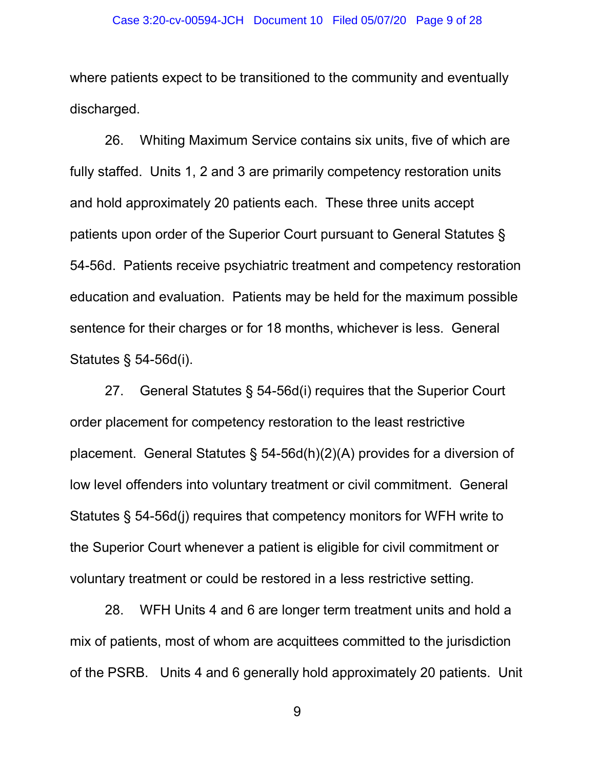where patients expect to be transitioned to the community and eventually discharged.

26. Whiting Maximum Service contains six units, five of which are fully staffed. Units 1, 2 and 3 are primarily competency restoration units and hold approximately 20 patients each. These three units accept patients upon order of the Superior Court pursuant to General Statutes § 54-56d. Patients receive psychiatric treatment and competency restoration education and evaluation. Patients may be held for the maximum possible sentence for their charges or for 18 months, whichever is less. General Statutes § 54-56d(i).

27. General Statutes § 54-56d(i) requires that the Superior Court order placement for competency restoration to the least restrictive placement. General Statutes § 54-56d(h)(2)(A) provides for a diversion of low level offenders into voluntary treatment or civil commitment. General Statutes § 54-56d(j) requires that competency monitors for WFH write to the Superior Court whenever a patient is eligible for civil commitment or voluntary treatment or could be restored in a less restrictive setting.

28. WFH Units 4 and 6 are longer term treatment units and hold a mix of patients, most of whom are acquittees committed to the jurisdiction of the PSRB. Units 4 and 6 generally hold approximately 20 patients. Unit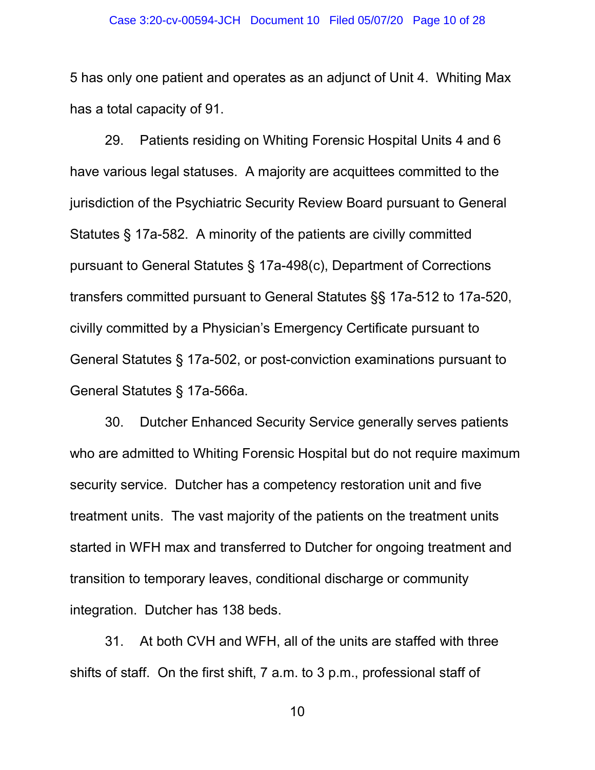#### Case 3:20-cv-00594-JCH Document 10 Filed 05/07/20 Page 10 of 28

5 has only one patient and operates as an adjunct of Unit 4. Whiting Max has a total capacity of 91.

29. Patients residing on Whiting Forensic Hospital Units 4 and 6 have various legal statuses. A majority are acquittees committed to the jurisdiction of the Psychiatric Security Review Board pursuant to General Statutes § 17a-582. A minority of the patients are civilly committed pursuant to General Statutes § 17a-498(c), Department of Corrections transfers committed pursuant to General Statutes §§ 17a-512 to 17a-520, civilly committed by a Physician's Emergency Certificate pursuant to General Statutes § 17a-502, or post-conviction examinations pursuant to General Statutes § 17a-566a.

30. Dutcher Enhanced Security Service generally serves patients who are admitted to Whiting Forensic Hospital but do not require maximum security service. Dutcher has a competency restoration unit and five treatment units. The vast majority of the patients on the treatment units started in WFH max and transferred to Dutcher for ongoing treatment and transition to temporary leaves, conditional discharge or community integration. Dutcher has 138 beds.

31. At both CVH and WFH, all of the units are staffed with three shifts of staff. On the first shift, 7 a.m. to 3 p.m., professional staff of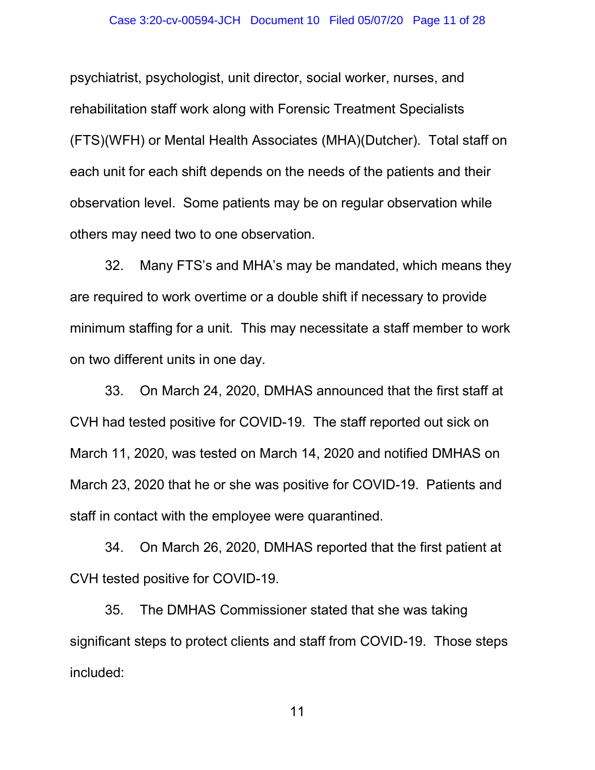#### Case 3:20-cv-00594-JCH Document 10 Filed 05/07/20 Page 11 of 28

psychiatrist, psychologist, unit director, social worker, nurses, and rehabilitation staff work along with Forensic Treatment Specialists (FTS)(WFH) or Mental Health Associates (MHA)(Dutcher). Total staff on each unit for each shift depends on the needs of the patients and their observation level. Some patients may be on regular observation while others may need two to one observation.

32. Many FTS's and MHA's may be mandated, which means they are required to work overtime or a double shift if necessary to provide minimum staffing for a unit. This may necessitate a staff member to work on two different units in one day.

33. On March 24, 2020, DMHAS announced that the first staff at CVH had tested positive for COVID-19. The staff reported out sick on March 11, 2020, was tested on March 14, 2020 and notified DMHAS on March 23, 2020 that he or she was positive for COVID-19. Patients and staff in contact with the employee were quarantined.

34. On March 26, 2020, DMHAS reported that the first patient at CVH tested positive for COVID-19.

35. The DMHAS Commissioner stated that she was taking significant steps to protect clients and staff from COVID-19. Those steps included: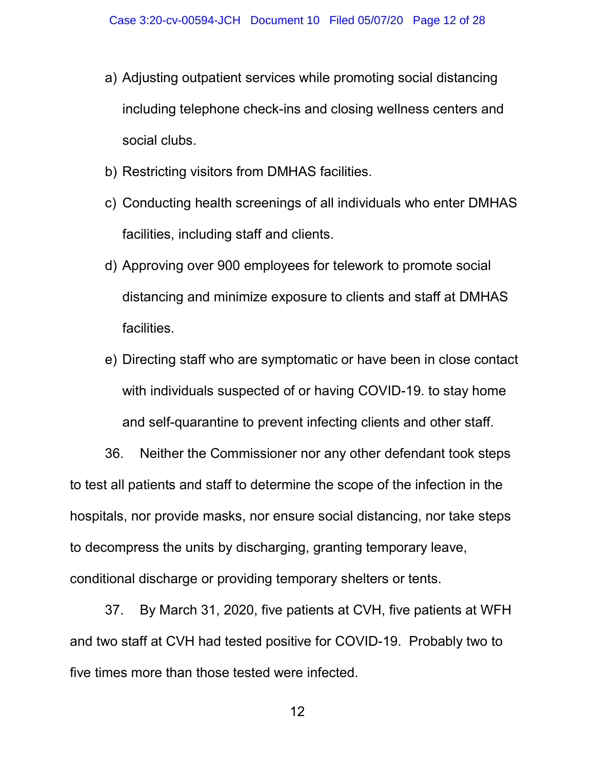- a) Adjusting outpatient services while promoting social distancing including telephone check-ins and closing wellness centers and social clubs.
- b) Restricting visitors from DMHAS facilities.
- c) Conducting health screenings of all individuals who enter DMHAS facilities, including staff and clients.
- d) Approving over 900 employees for telework to promote social distancing and minimize exposure to clients and staff at DMHAS facilities.
- e) Directing staff who are symptomatic or have been in close contact with individuals suspected of or having COVID-19. to stay home and self-quarantine to prevent infecting clients and other staff.

36. Neither the Commissioner nor any other defendant took steps to test all patients and staff to determine the scope of the infection in the hospitals, nor provide masks, nor ensure social distancing, nor take steps to decompress the units by discharging, granting temporary leave, conditional discharge or providing temporary shelters or tents.

37. By March 31, 2020, five patients at CVH, five patients at WFH and two staff at CVH had tested positive for COVID-19. Probably two to five times more than those tested were infected.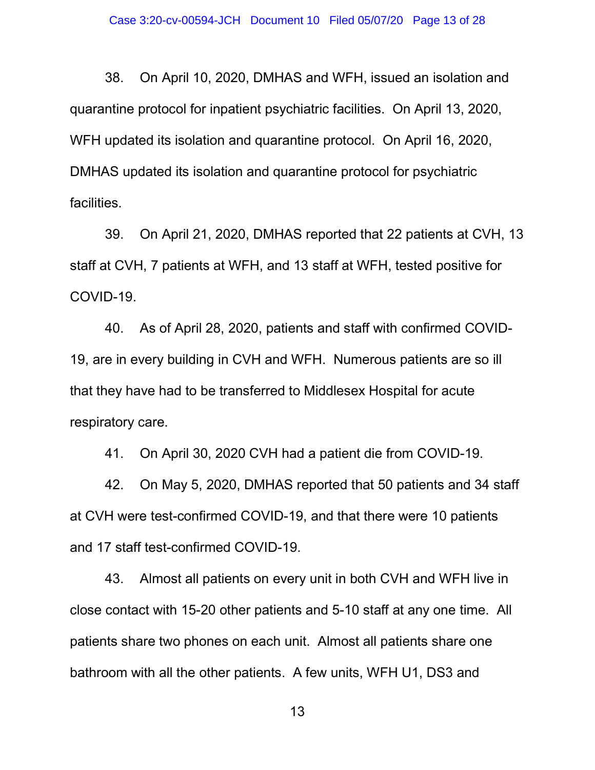38. On April 10, 2020, DMHAS and WFH, issued an isolation and quarantine protocol for inpatient psychiatric facilities. On April 13, 2020, WFH updated its isolation and quarantine protocol. On April 16, 2020, DMHAS updated its isolation and quarantine protocol for psychiatric facilities.

39. On April 21, 2020, DMHAS reported that 22 patients at CVH, 13 staff at CVH, 7 patients at WFH, and 13 staff at WFH, tested positive for COVID-19.

40. As of April 28, 2020, patients and staff with confirmed COVID-19, are in every building in CVH and WFH. Numerous patients are so ill that they have had to be transferred to Middlesex Hospital for acute respiratory care.

41. On April 30, 2020 CVH had a patient die from COVID-19.

42. On May 5, 2020, DMHAS reported that 50 patients and 34 staff at CVH were test-confirmed COVID-19, and that there were 10 patients and 17 staff test-confirmed COVID-19.

43. Almost all patients on every unit in both CVH and WFH live in close contact with 15-20 other patients and 5-10 staff at any one time. All patients share two phones on each unit. Almost all patients share one bathroom with all the other patients. A few units, WFH U1, DS3 and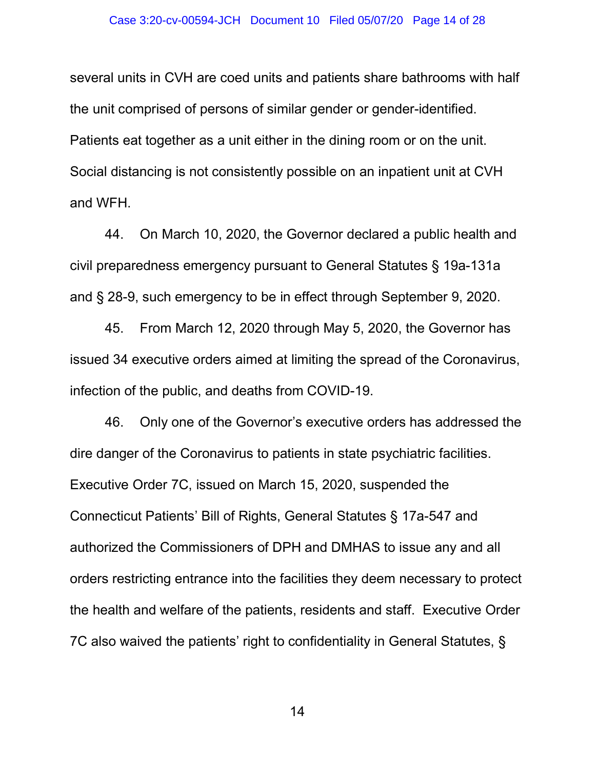several units in CVH are coed units and patients share bathrooms with half the unit comprised of persons of similar gender or gender-identified. Patients eat together as a unit either in the dining room or on the unit. Social distancing is not consistently possible on an inpatient unit at CVH and WFH.

44. On March 10, 2020, the Governor declared a public health and civil preparedness emergency pursuant to General Statutes § 19a-131a and § 28-9, such emergency to be in effect through September 9, 2020.

45. From March 12, 2020 through May 5, 2020, the Governor has issued 34 executive orders aimed at limiting the spread of the Coronavirus, infection of the public, and deaths from COVID-19.

46. Only one of the Governor's executive orders has addressed the dire danger of the Coronavirus to patients in state psychiatric facilities. Executive Order 7C, issued on March 15, 2020, suspended the Connecticut Patients' Bill of Rights, General Statutes § 17a-547 and authorized the Commissioners of DPH and DMHAS to issue any and all orders restricting entrance into the facilities they deem necessary to protect the health and welfare of the patients, residents and staff. Executive Order 7C also waived the patients' right to confidentiality in General Statutes, §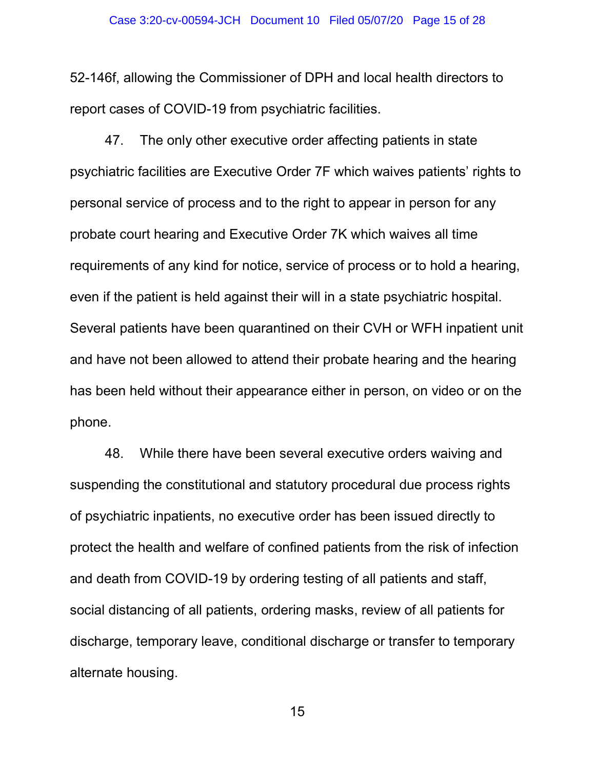52-146f, allowing the Commissioner of DPH and local health directors to report cases of COVID-19 from psychiatric facilities.

47. The only other executive order affecting patients in state psychiatric facilities are Executive Order 7F which waives patients' rights to personal service of process and to the right to appear in person for any probate court hearing and Executive Order 7K which waives all time requirements of any kind for notice, service of process or to hold a hearing, even if the patient is held against their will in a state psychiatric hospital. Several patients have been quarantined on their CVH or WFH inpatient unit and have not been allowed to attend their probate hearing and the hearing has been held without their appearance either in person, on video or on the phone.

48. While there have been several executive orders waiving and suspending the constitutional and statutory procedural due process rights of psychiatric inpatients, no executive order has been issued directly to protect the health and welfare of confined patients from the risk of infection and death from COVID-19 by ordering testing of all patients and staff, social distancing of all patients, ordering masks, review of all patients for discharge, temporary leave, conditional discharge or transfer to temporary alternate housing.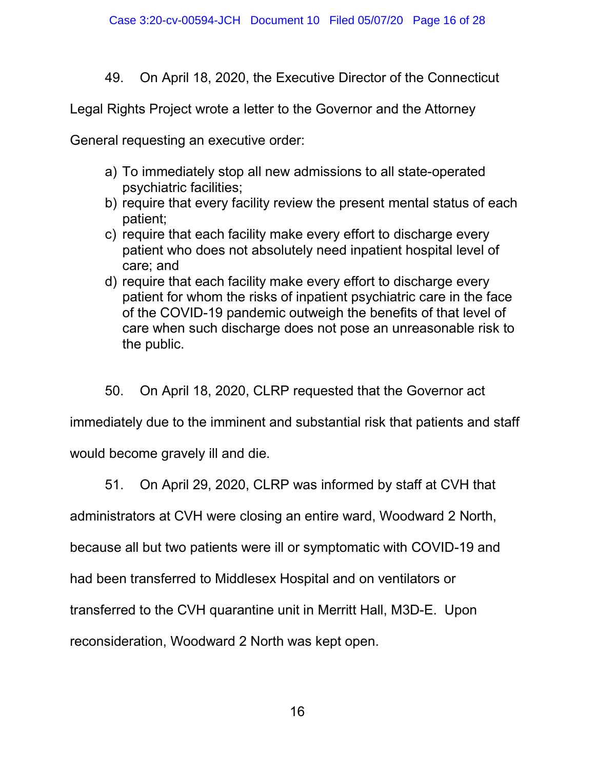49. On April 18, 2020, the Executive Director of the Connecticut

Legal Rights Project wrote a letter to the Governor and the Attorney

General requesting an executive order:

- a) To immediately stop all new admissions to all state-operated psychiatric facilities;
- b) require that every facility review the present mental status of each patient;
- c) require that each facility make every effort to discharge every patient who does not absolutely need inpatient hospital level of care; and
- d) require that each facility make every effort to discharge every patient for whom the risks of inpatient psychiatric care in the face of the COVID-19 pandemic outweigh the benefits of that level of care when such discharge does not pose an unreasonable risk to the public.

50. On April 18, 2020, CLRP requested that the Governor act

immediately due to the imminent and substantial risk that patients and staff

would become gravely ill and die.

51. On April 29, 2020, CLRP was informed by staff at CVH that

administrators at CVH were closing an entire ward, Woodward 2 North,

because all but two patients were ill or symptomatic with COVID-19 and

had been transferred to Middlesex Hospital and on ventilators or

transferred to the CVH quarantine unit in Merritt Hall, M3D-E. Upon

reconsideration, Woodward 2 North was kept open.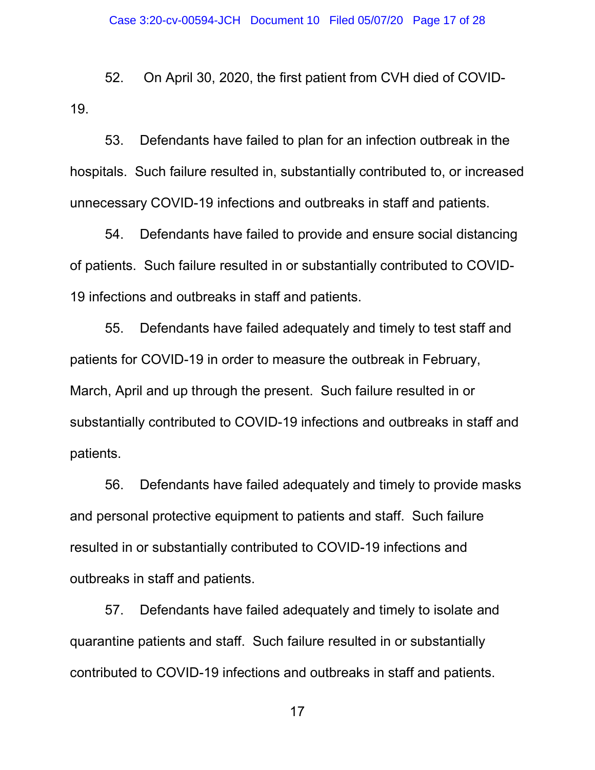52. On April 30, 2020, the first patient from CVH died of COVID-19.

53. Defendants have failed to plan for an infection outbreak in the hospitals. Such failure resulted in, substantially contributed to, or increased unnecessary COVID-19 infections and outbreaks in staff and patients.

54. Defendants have failed to provide and ensure social distancing of patients. Such failure resulted in or substantially contributed to COVID-19 infections and outbreaks in staff and patients.

55. Defendants have failed adequately and timely to test staff and patients for COVID-19 in order to measure the outbreak in February, March, April and up through the present. Such failure resulted in or substantially contributed to COVID-19 infections and outbreaks in staff and patients.

56. Defendants have failed adequately and timely to provide masks and personal protective equipment to patients and staff. Such failure resulted in or substantially contributed to COVID-19 infections and outbreaks in staff and patients.

57. Defendants have failed adequately and timely to isolate and quarantine patients and staff. Such failure resulted in or substantially contributed to COVID-19 infections and outbreaks in staff and patients.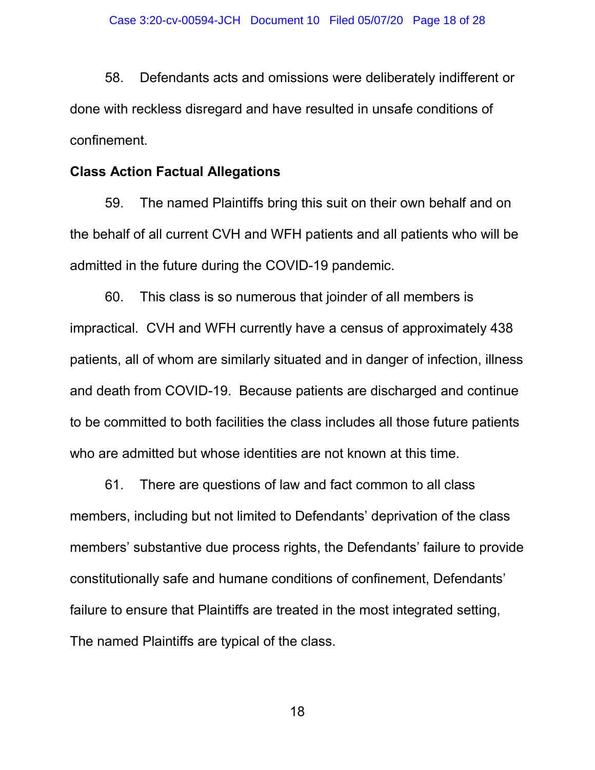58. Defendants acts and omissions were deliberately indifferent or done with reckless disregard and have resulted in unsafe conditions of confinement.

## Class Action Factual Allegations

59. The named Plaintiffs bring this suit on their own behalf and on the behalf of all current CVH and WFH patients and all patients who will be admitted in the future during the COVID-19 pandemic.

60. This class is so numerous that joinder of all members is impractical. CVH and WFH currently have a census of approximately 438 patients, all of whom are similarly situated and in danger of infection, illness and death from COVID-19. Because patients are discharged and continue to be committed to both facilities the class includes all those future patients who are admitted but whose identities are not known at this time.

61. There are questions of law and fact common to all class members, including but not limited to Defendants' deprivation of the class members' substantive due process rights, the Defendants' failure to provide constitutionally safe and humane conditions of confinement, Defendants' failure to ensure that Plaintiffs are treated in the most integrated setting, The named Plaintiffs are typical of the class.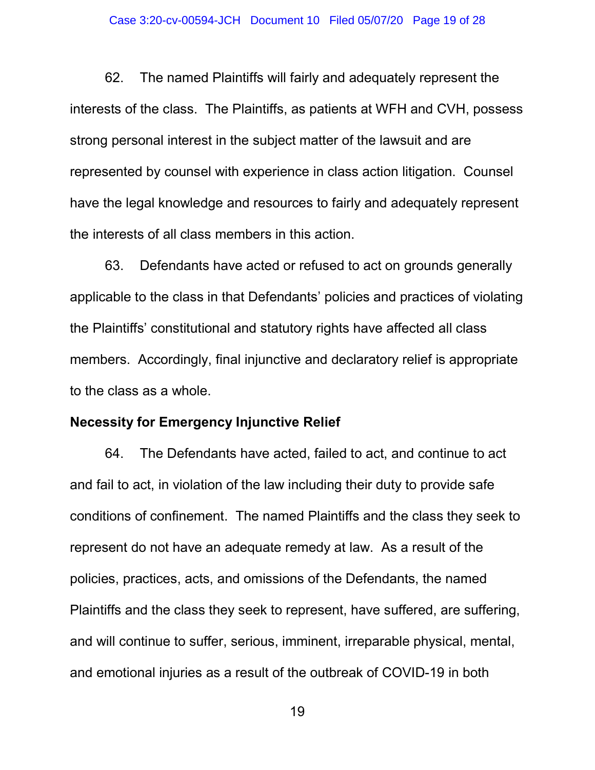62. The named Plaintiffs will fairly and adequately represent the interests of the class. The Plaintiffs, as patients at WFH and CVH, possess strong personal interest in the subject matter of the lawsuit and are represented by counsel with experience in class action litigation. Counsel have the legal knowledge and resources to fairly and adequately represent the interests of all class members in this action.

63. Defendants have acted or refused to act on grounds generally applicable to the class in that Defendants' policies and practices of violating the Plaintiffs' constitutional and statutory rights have affected all class members. Accordingly, final injunctive and declaratory relief is appropriate to the class as a whole.

### Necessity for Emergency Injunctive Relief

64. The Defendants have acted, failed to act, and continue to act and fail to act, in violation of the law including their duty to provide safe conditions of confinement. The named Plaintiffs and the class they seek to represent do not have an adequate remedy at law. As a result of the policies, practices, acts, and omissions of the Defendants, the named Plaintiffs and the class they seek to represent, have suffered, are suffering, and will continue to suffer, serious, imminent, irreparable physical, mental, and emotional injuries as a result of the outbreak of COVID-19 in both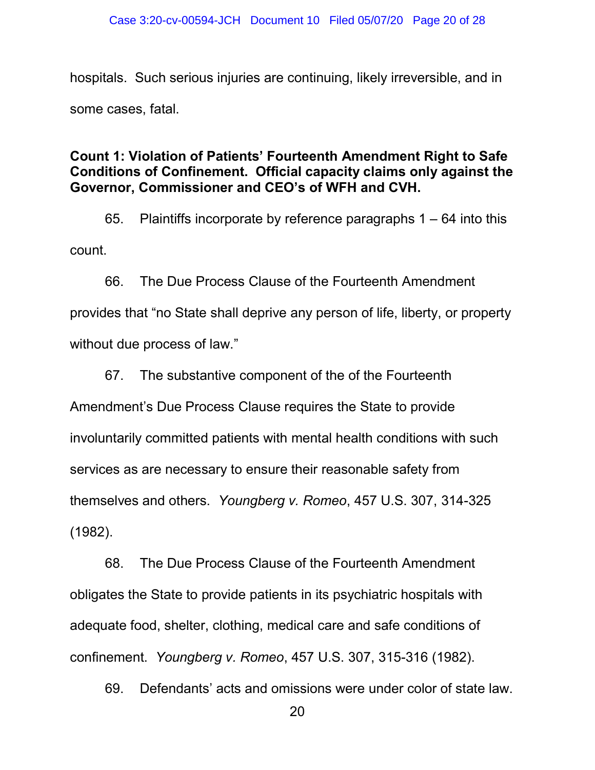hospitals. Such serious injuries are continuing, likely irreversible, and in some cases, fatal.

# Count 1: Violation of Patients' Fourteenth Amendment Right to Safe Conditions of Confinement. Official capacity claims only against the Governor, Commissioner and CEO's of WFH and CVH.

65. Plaintiffs incorporate by reference paragraphs 1 – 64 into this count.

66. The Due Process Clause of the Fourteenth Amendment provides that "no State shall deprive any person of life, liberty, or property without due process of law."

67. The substantive component of the of the Fourteenth

Amendment's Due Process Clause requires the State to provide involuntarily committed patients with mental health conditions with such services as are necessary to ensure their reasonable safety from themselves and others. Youngberg v. Romeo, 457 U.S. 307, 314-325 (1982).

68. The Due Process Clause of the Fourteenth Amendment obligates the State to provide patients in its psychiatric hospitals with adequate food, shelter, clothing, medical care and safe conditions of confinement. Youngberg v. Romeo, 457 U.S. 307, 315-316 (1982).

69. Defendants' acts and omissions were under color of state law.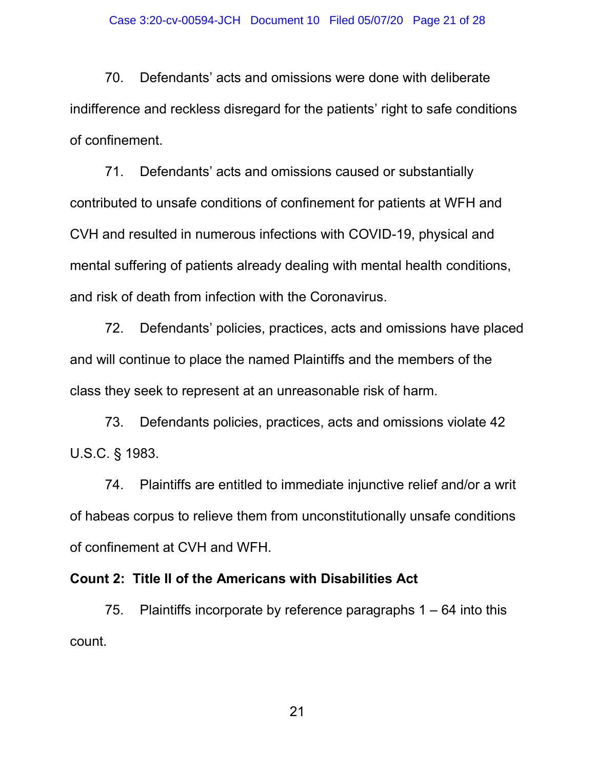70. Defendants' acts and omissions were done with deliberate indifference and reckless disregard for the patients' right to safe conditions of confinement.

71. Defendants' acts and omissions caused or substantially contributed to unsafe conditions of confinement for patients at WFH and CVH and resulted in numerous infections with COVID-19, physical and mental suffering of patients already dealing with mental health conditions, and risk of death from infection with the Coronavirus.

72. Defendants' policies, practices, acts and omissions have placed and will continue to place the named Plaintiffs and the members of the class they seek to represent at an unreasonable risk of harm.

73. Defendants policies, practices, acts and omissions violate 42 U.S.C. § 1983.

74. Plaintiffs are entitled to immediate injunctive relief and/or a writ of habeas corpus to relieve them from unconstitutionally unsafe conditions of confinement at CVH and WFH.

## Count 2: Title II of the Americans with Disabilities Act

75. Plaintiffs incorporate by reference paragraphs 1 – 64 into this count.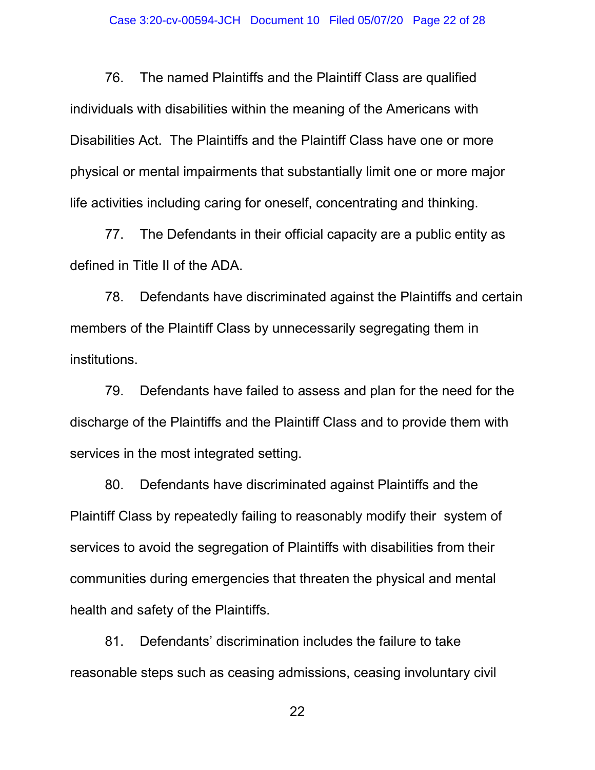76. The named Plaintiffs and the Plaintiff Class are qualified individuals with disabilities within the meaning of the Americans with Disabilities Act. The Plaintiffs and the Plaintiff Class have one or more physical or mental impairments that substantially limit one or more major life activities including caring for oneself, concentrating and thinking.

77. The Defendants in their official capacity are a public entity as defined in Title II of the ADA.

78. Defendants have discriminated against the Plaintiffs and certain members of the Plaintiff Class by unnecessarily segregating them in institutions.

79. Defendants have failed to assess and plan for the need for the discharge of the Plaintiffs and the Plaintiff Class and to provide them with services in the most integrated setting.

80. Defendants have discriminated against Plaintiffs and the Plaintiff Class by repeatedly failing to reasonably modify their system of services to avoid the segregation of Plaintiffs with disabilities from their communities during emergencies that threaten the physical and mental health and safety of the Plaintiffs.

81. Defendants' discrimination includes the failure to take reasonable steps such as ceasing admissions, ceasing involuntary civil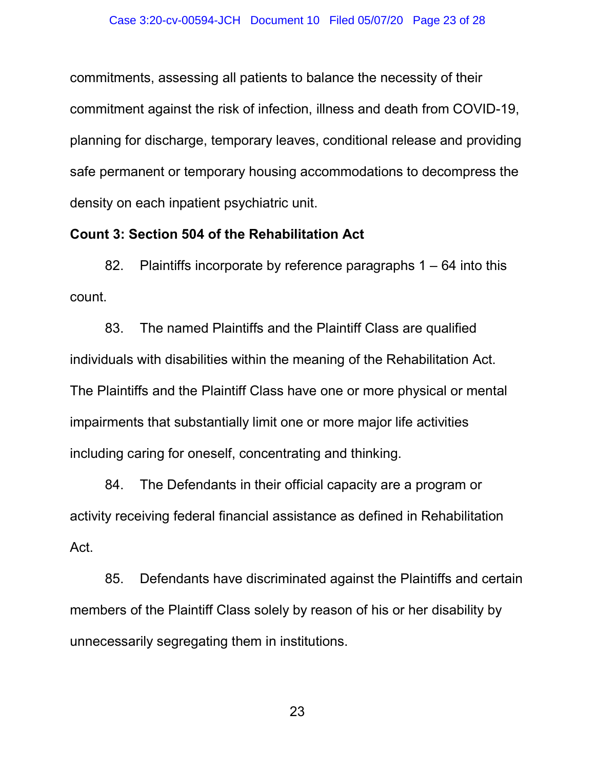commitments, assessing all patients to balance the necessity of their commitment against the risk of infection, illness and death from COVID-19, planning for discharge, temporary leaves, conditional release and providing safe permanent or temporary housing accommodations to decompress the density on each inpatient psychiatric unit.

## Count 3: Section 504 of the Rehabilitation Act

82. Plaintiffs incorporate by reference paragraphs 1 – 64 into this count.

83. The named Plaintiffs and the Plaintiff Class are qualified individuals with disabilities within the meaning of the Rehabilitation Act. The Plaintiffs and the Plaintiff Class have one or more physical or mental impairments that substantially limit one or more major life activities including caring for oneself, concentrating and thinking.

84. The Defendants in their official capacity are a program or activity receiving federal financial assistance as defined in Rehabilitation Act.

85. Defendants have discriminated against the Plaintiffs and certain members of the Plaintiff Class solely by reason of his or her disability by unnecessarily segregating them in institutions.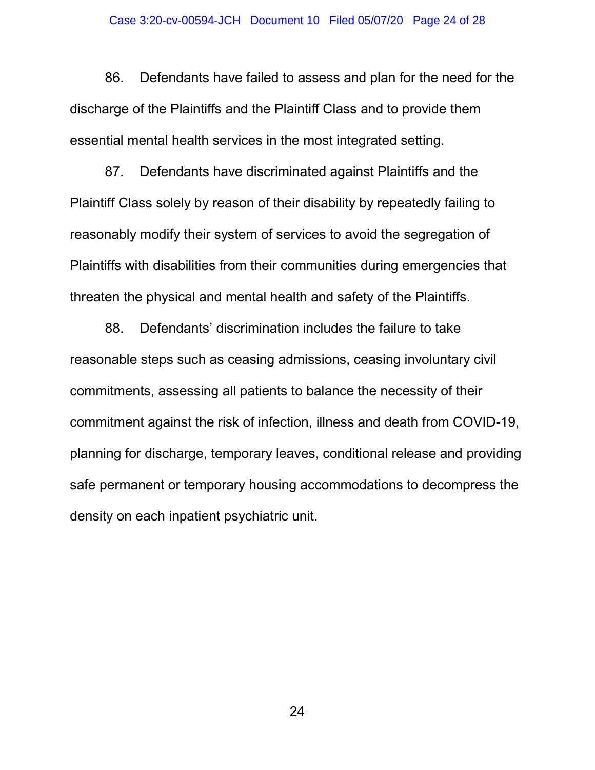86. Defendants have failed to assess and plan for the need for the discharge of the Plaintiffs and the Plaintiff Class and to provide them essential mental health services in the most integrated setting.

87. Defendants have discriminated against Plaintiffs and the Plaintiff Class solely by reason of their disability by repeatedly failing to reasonably modify their system of services to avoid the segregation of Plaintiffs with disabilities from their communities during emergencies that threaten the physical and mental health and safety of the Plaintiffs.

88. Defendants' discrimination includes the failure to take reasonable steps such as ceasing admissions, ceasing involuntary civil commitments, assessing all patients to balance the necessity of their commitment against the risk of infection, illness and death from COVID-19, planning for discharge, temporary leaves, conditional release and providing safe permanent or temporary housing accommodations to decompress the density on each inpatient psychiatric unit.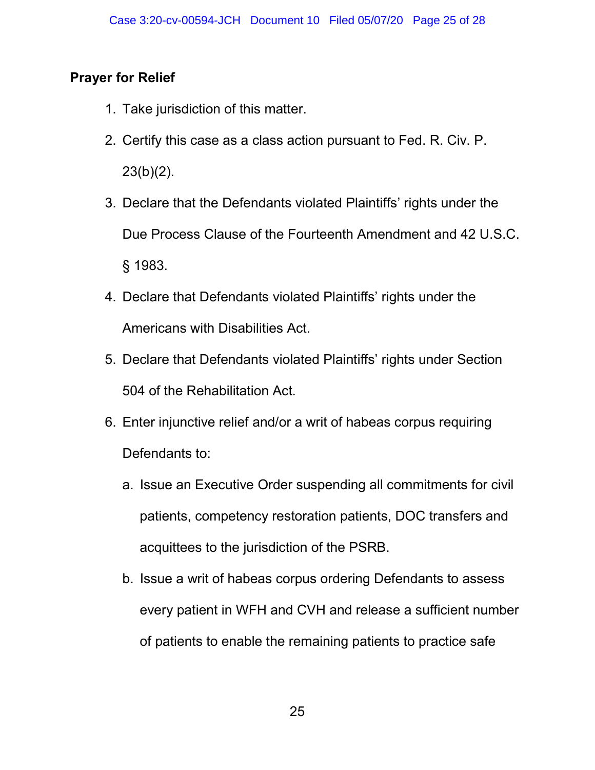# Prayer for Relief

- 1. Take jurisdiction of this matter.
- 2. Certify this case as a class action pursuant to Fed. R. Civ. P.  $23(b)(2)$ .
- 3. Declare that the Defendants violated Plaintiffs' rights under the Due Process Clause of the Fourteenth Amendment and 42 U.S.C. § 1983.
- 4. Declare that Defendants violated Plaintiffs' rights under the Americans with Disabilities Act.
- 5. Declare that Defendants violated Plaintiffs' rights under Section 504 of the Rehabilitation Act.
- 6. Enter injunctive relief and/or a writ of habeas corpus requiring Defendants to:
	- a. Issue an Executive Order suspending all commitments for civil patients, competency restoration patients, DOC transfers and acquittees to the jurisdiction of the PSRB.
	- b. Issue a writ of habeas corpus ordering Defendants to assess every patient in WFH and CVH and release a sufficient number of patients to enable the remaining patients to practice safe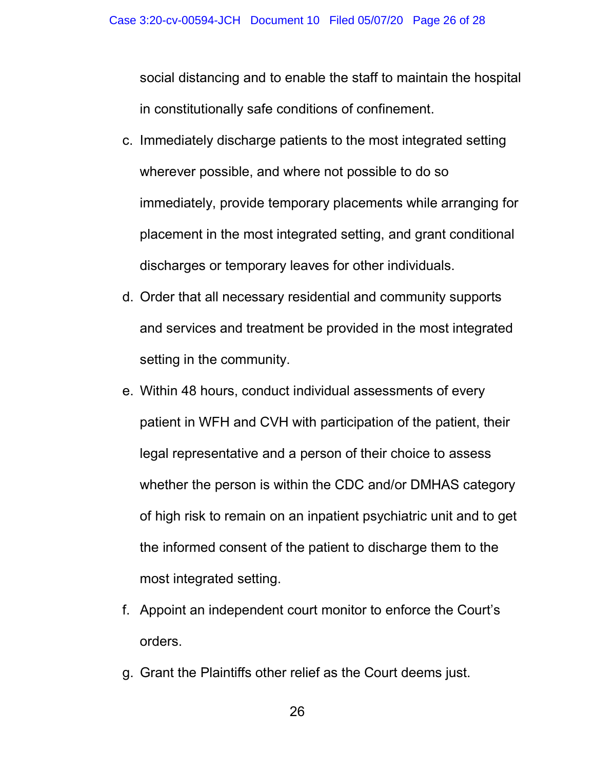social distancing and to enable the staff to maintain the hospital in constitutionally safe conditions of confinement.

- c. Immediately discharge patients to the most integrated setting wherever possible, and where not possible to do so immediately, provide temporary placements while arranging for placement in the most integrated setting, and grant conditional discharges or temporary leaves for other individuals.
- d. Order that all necessary residential and community supports and services and treatment be provided in the most integrated setting in the community.
- e. Within 48 hours, conduct individual assessments of every patient in WFH and CVH with participation of the patient, their legal representative and a person of their choice to assess whether the person is within the CDC and/or DMHAS category of high risk to remain on an inpatient psychiatric unit and to get the informed consent of the patient to discharge them to the most integrated setting.
- f. Appoint an independent court monitor to enforce the Court's orders.
- g. Grant the Plaintiffs other relief as the Court deems just.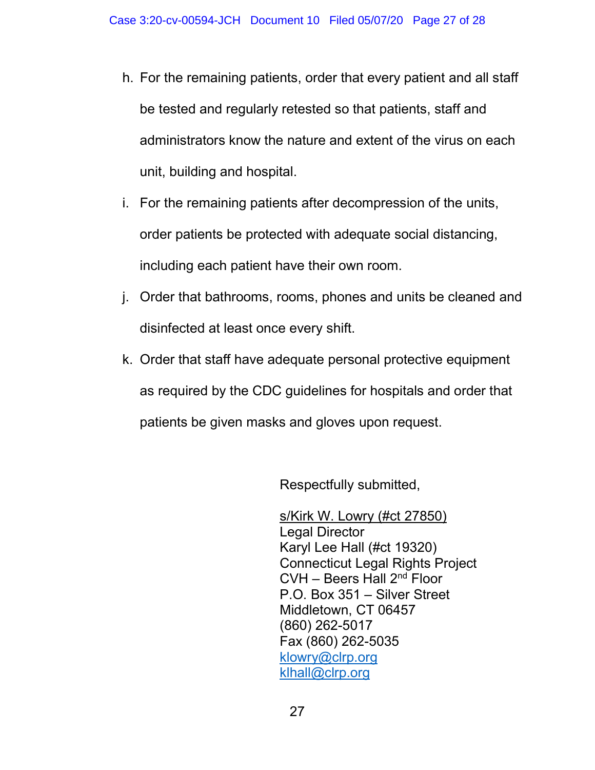- h. For the remaining patients, order that every patient and all staff be tested and regularly retested so that patients, staff and administrators know the nature and extent of the virus on each unit, building and hospital.
- i. For the remaining patients after decompression of the units, order patients be protected with adequate social distancing, including each patient have their own room.
- j. Order that bathrooms, rooms, phones and units be cleaned and disinfected at least once every shift.
- k. Order that staff have adequate personal protective equipment as required by the CDC guidelines for hospitals and order that patients be given masks and gloves upon request.

Respectfully submitted,

s/Kirk W. Lowry (#ct 27850) Legal Director Karyl Lee Hall (#ct 19320) Connecticut Legal Rights Project CVH – Beers Hall 2nd Floor P.O. Box 351 – Silver Street Middletown, CT 06457 (860) 262-5017 Fax (860) 262-5035 klowry@clrp.org klhall@clrp.org